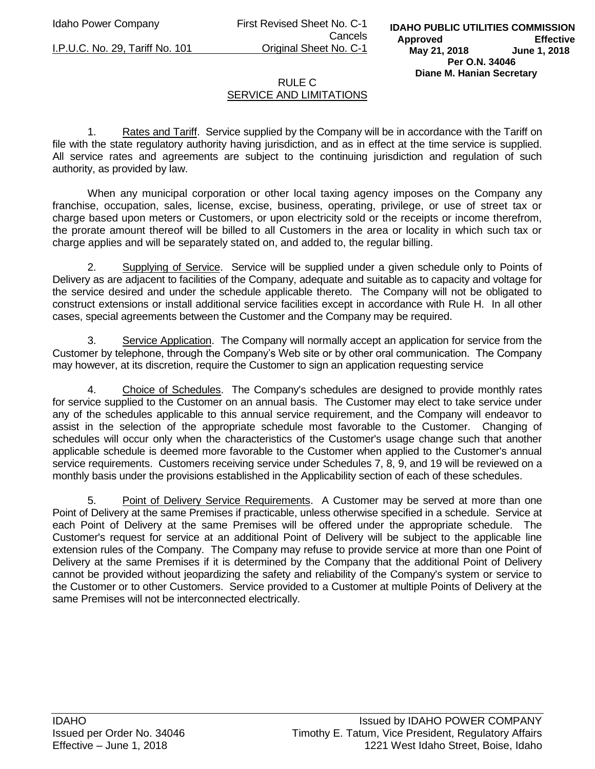Idaho Power Company First Revised Sheet No. C-1 Cancels I.P.U.C. No. 29, Tariff No. 101 Original Sheet No. C-1

## RULE C SERVICE AND LIMITATIONS

1. Rates and Tariff. Service supplied by the Company will be in accordance with the Tariff on file with the state regulatory authority having jurisdiction, and as in effect at the time service is supplied. All service rates and agreements are subject to the continuing jurisdiction and regulation of such authority, as provided by law.

When any municipal corporation or other local taxing agency imposes on the Company any franchise, occupation, sales, license, excise, business, operating, privilege, or use of street tax or charge based upon meters or Customers, or upon electricity sold or the receipts or income therefrom, the prorate amount thereof will be billed to all Customers in the area or locality in which such tax or charge applies and will be separately stated on, and added to, the regular billing.

2. Supplying of Service. Service will be supplied under a given schedule only to Points of Delivery as are adjacent to facilities of the Company, adequate and suitable as to capacity and voltage for the service desired and under the schedule applicable thereto. The Company will not be obligated to construct extensions or install additional service facilities except in accordance with Rule H. In all other cases, special agreements between the Customer and the Company may be required.

3. Service Application. The Company will normally accept an application for service from the Customer by telephone, through the Company's Web site or by other oral communication. The Company may however, at its discretion, require the Customer to sign an application requesting service

4. Choice of Schedules. The Company's schedules are designed to provide monthly rates for service supplied to the Customer on an annual basis. The Customer may elect to take service under any of the schedules applicable to this annual service requirement, and the Company will endeavor to assist in the selection of the appropriate schedule most favorable to the Customer. Changing of schedules will occur only when the characteristics of the Customer's usage change such that another applicable schedule is deemed more favorable to the Customer when applied to the Customer's annual service requirements. Customers receiving service under Schedules 7, 8, 9, and 19 will be reviewed on a monthly basis under the provisions established in the Applicability section of each of these schedules.

5. Point of Delivery Service Requirements. A Customer may be served at more than one Point of Delivery at the same Premises if practicable, unless otherwise specified in a schedule. Service at each Point of Delivery at the same Premises will be offered under the appropriate schedule. The Customer's request for service at an additional Point of Delivery will be subject to the applicable line extension rules of the Company. The Company may refuse to provide service at more than one Point of Delivery at the same Premises if it is determined by the Company that the additional Point of Delivery cannot be provided without jeopardizing the safety and reliability of the Company's system or service to the Customer or to other Customers. Service provided to a Customer at multiple Points of Delivery at the same Premises will not be interconnected electrically.